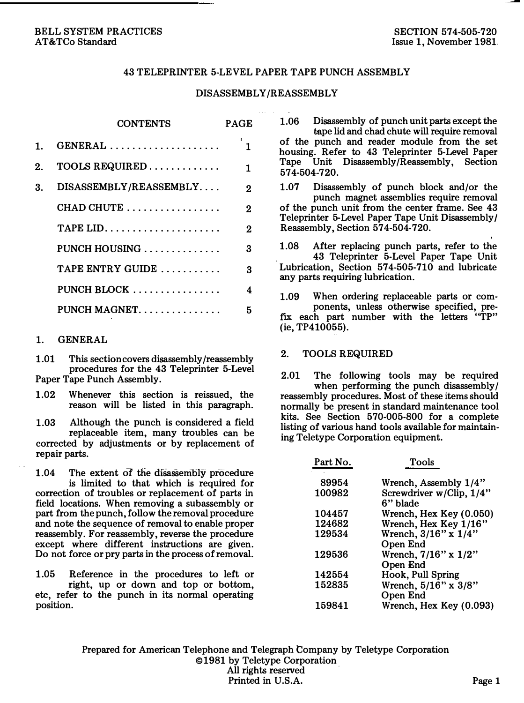### BELL SYSTEM PRACTICES AT&TCo Standard

### 43 TELEPRINTER 5-LEVEL PAPER TAPE PUNCH ASSEMBLY

### DISASSEMBLY/REASSEMBLY

|    | <b>CONTENTS</b>                                     | PAGE         |
|----|-----------------------------------------------------|--------------|
| 1. | $GENERAL$                                           | 1            |
| 2. | $TOOLS$ REQUIRED                                    | 1            |
| 3. | DISASSEMBLY/REASSEMBLY                              | $\mathbf{2}$ |
|    | $CHAD$ CHUTE $\ldots \ldots \ldots \ldots \ldots$   | 2            |
|    | TAPE LID. $\ldots$ , $\ldots$ , $\ldots$ , $\ldots$ | 2            |
|    | PUNCH HOUSING $\ldots \ldots \ldots \ldots$         | 3            |
|    | TAPE ENTRY GUIDE                                    | з            |
|    | PUNCH BLOCK $\ldots \ldots \ldots \ldots$           | 4            |
|    | PUNCH MAGNET.                                       | 5            |

#### 1. GENERAL

1.01 This section covers disassembly/reassembly procedures for the 43 Teleprinter 5-Level Paper Tape Punch Assembly.

1.02 Whenever this section is reissued, the reason will be listed in this paragraph.

1.03 Although the punch is considered a field replaceable item, many troubles can be corrected by adjustments or by replacement of repair parts.

 $1.04$  The extent of the disassembly procedure is limited to that which is required for correction of troubles or replacement of parts in field locations. When removing a subassembly or part from the punch, follow the removal procedure and note the sequence of removal to enable proper reassembly. For reassembly, reverse the procedure except where different instructions are given. Do not force or pry parts in the process of removal.

1.05 Reference in the procedures to left or right, up or down and top or bottom, etc, refer to the punch in its normal operating position.

1.06 Disassembly of punch unit parts except the tape lid and chad chute will require removal of the punch and reader module from the set housing. Refer to 43 Teleprinter 5-Level Paper Tape Unit Disassembly /Reassembly, Section 574-504-720.

1.07 Disassembly of punch block and/or the punch magnet assemblies require removal of the punch unit from the center frame. See 43 Teleprinter 5-Level Paper Tape Unit Disassembly I Reassembly, Section 574-504-720.

1.08 After replacing punch parts, refer to the . 43 Teleprinter 5-Level Paper Tape Unit Lubrication, Section  $574-505-710$  and lubricate any parts requiring lubrication.

1.09 When ordering replaceable parts or components, unless otherwise specified, prefix each part number with the letters "TP"  $(ie, TP410055)$ .

### 2. TOOLS REQUIRED

2.01 The following tools may be required when performing the punch disassembly/ reassembly procedures. Most of these items should normally be present in standard maintenance tool kits. See Section 570-005-800 for a complete listing of various hand tools available for maintaining Teletype Corporation equipment.

| Part No. | Tools                                |
|----------|--------------------------------------|
| 89954    | Wrench, Assembly 1/4"                |
| 100982   | Screwdriver w/Clip, 1/4"<br>6" blade |
| 104457   | Wrench, Hex Key (0.050)              |
| 124682   | Wrench, Hex Key 1/16"                |
| 129534   | Wrench, 3/16" x 1/4"<br>Open End     |
| 129536   | Wrench, 7/16" x 1/2"<br>Open End     |
| 142554   | Hook, Pull Spring                    |
| 152835   | Wrench, 5/16" x 3/8"                 |
|          | Open End                             |
| 159841   | Wrench, Hex Key (0.093)              |

Prepared for American Telephone and Telegraph Company by Teletype Corporation ©1981 by Teletype Corporation All rights reserved Printed in U.S.A. Page 1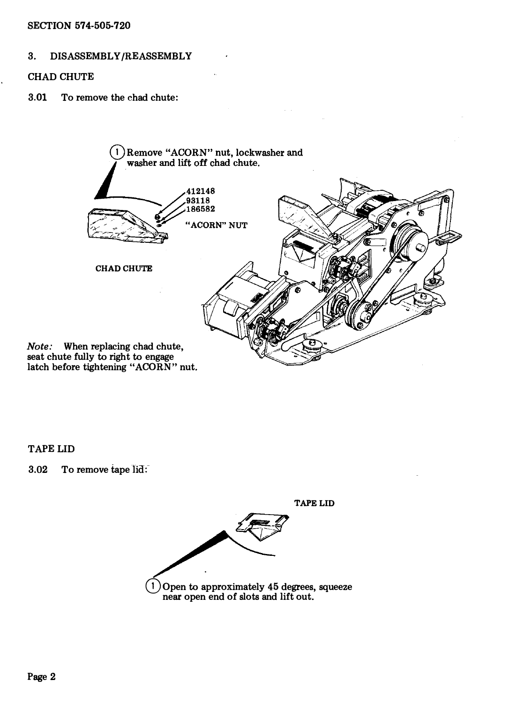## SECTION 574-505-720

## 3. DISASSEMBLY/REASSEMBLY

### CHAD CHUTE

3.01 To remove the chad chute:



TAPE LID

3.02 To remove tape lid:

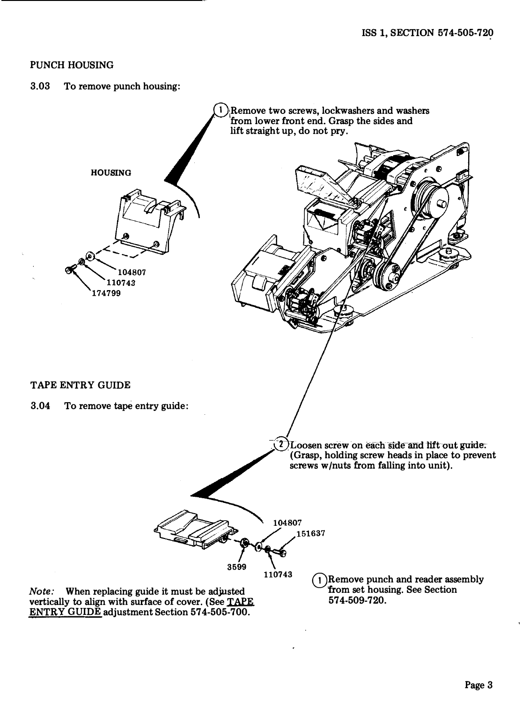### PUNCH HOUSING

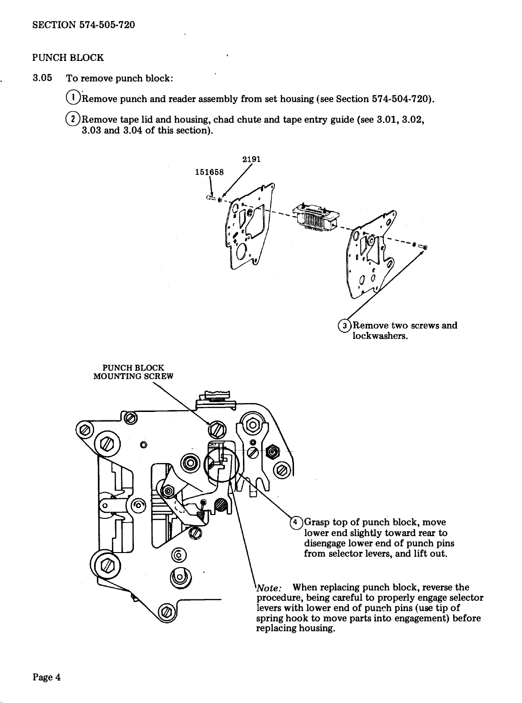# PUNCH BLOCK

3.05 To remove punch block:

 $(1)$ Remove punch and reader assembly from set housing (see Section 574-504-720).

 $\binom{2}{2}$  Remove tape lid and housing, chad chute and tape entry guide (see 3.01, 3.02, 3.03 and 3.04 of this section).